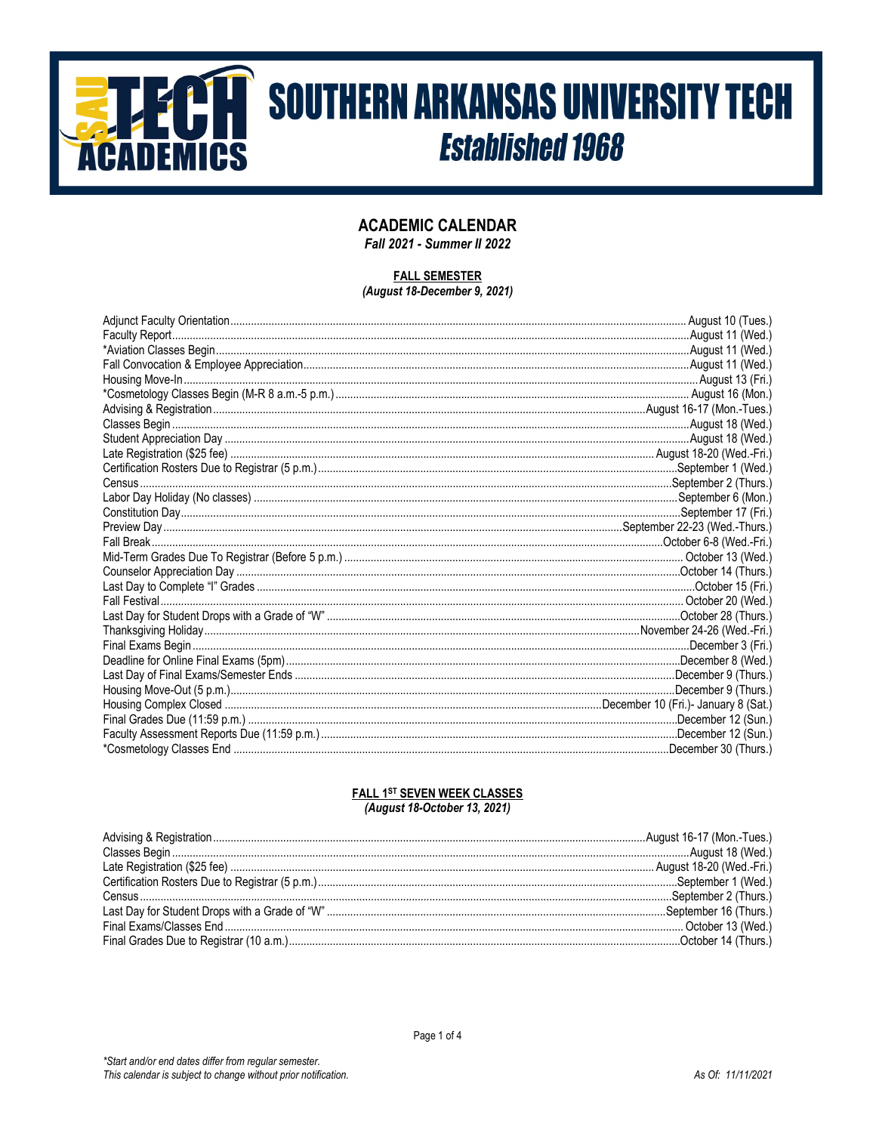

## **ACADEMIC CALENDAR**

Fall 2021 - Summer II 2022

### **FALL SEMESTER**

(August 18-December 9, 2021)

| .December 9 (Thurs.) |
|----------------------|
|                      |
|                      |
|                      |
|                      |

#### FALL 1ST SEVEN WEEK CLASSES (August 18-October 13, 2021)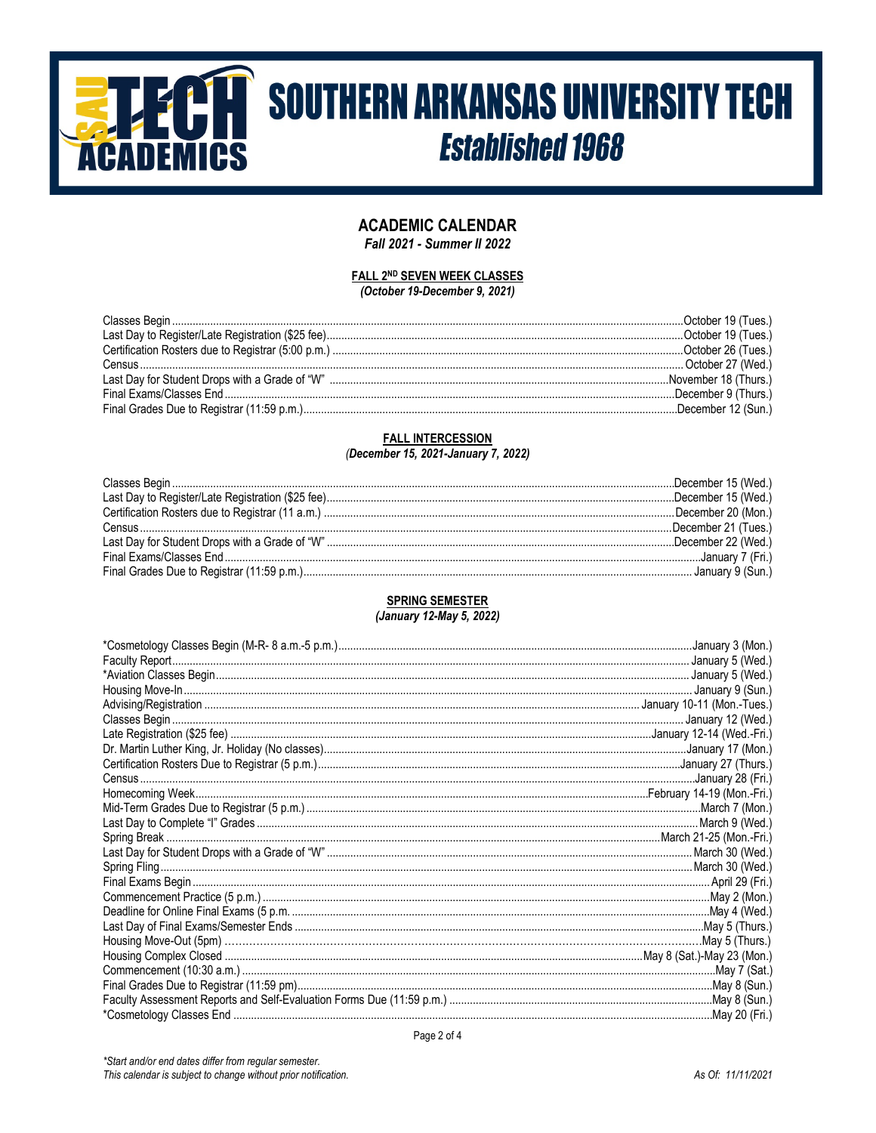

## **ACADEMIC CALENDAR**

Fall 2021 - Summer II 2022

# FALL 2ND SEVEN WEEK CLASSES

(October 19-December 9, 2021)

#### **FALL INTERCESSION**

(December 15, 2021-January 7, 2022)

## **SPRING SEMESTER**

#### (January 12-May 5, 2022)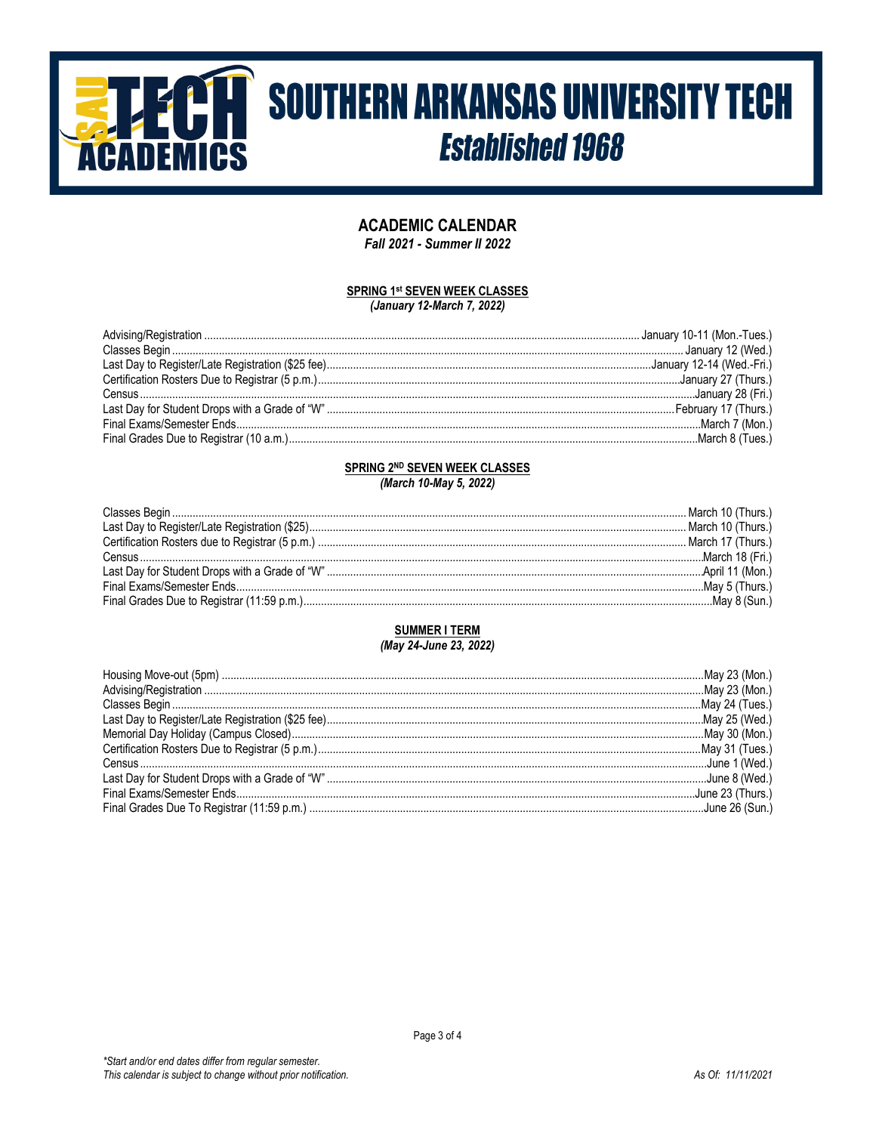# **SOUTHERN ARKANSAS UNIVERSITY TECH Established 1968**

## **ACADEMIC CALENDAR**

Fall 2021 - Summer II 2022

#### **SPRING 1st SEVEN WEEK CLASSES** (January 12-March 7, 2022)

## **SPRING 2ND SEVEN WEEK CLASSES**

### (March 10-May 5, 2022)

## **SUMMER I TERM**

## (May 24-June 23, 2022)

F